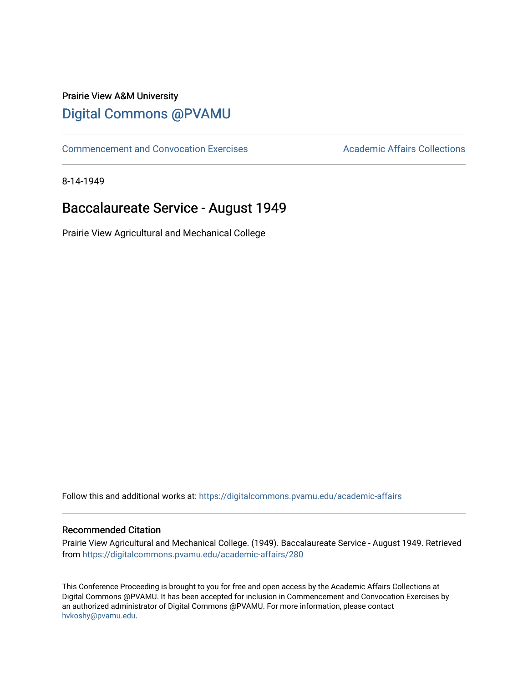## Prairie View A&M University [Digital Commons @PVAMU](https://digitalcommons.pvamu.edu/)

[Commencement and Convocation Exercises](https://digitalcommons.pvamu.edu/academic-affairs) **Academic Affairs Collections** 

8-14-1949

# Baccalaureate Service - August 1949

Prairie View Agricultural and Mechanical College

Follow this and additional works at: [https://digitalcommons.pvamu.edu/academic-affairs](https://digitalcommons.pvamu.edu/academic-affairs?utm_source=digitalcommons.pvamu.edu%2Facademic-affairs%2F280&utm_medium=PDF&utm_campaign=PDFCoverPages)

### Recommended Citation

Prairie View Agricultural and Mechanical College. (1949). Baccalaureate Service - August 1949. Retrieved from [https://digitalcommons.pvamu.edu/academic-affairs/280](https://digitalcommons.pvamu.edu/academic-affairs/280?utm_source=digitalcommons.pvamu.edu%2Facademic-affairs%2F280&utm_medium=PDF&utm_campaign=PDFCoverPages) 

This Conference Proceeding is brought to you for free and open access by the Academic Affairs Collections at Digital Commons @PVAMU. It has been accepted for inclusion in Commencement and Convocation Exercises by an authorized administrator of Digital Commons @PVAMU. For more information, please contact [hvkoshy@pvamu.edu](mailto:hvkoshy@pvamu.edu).